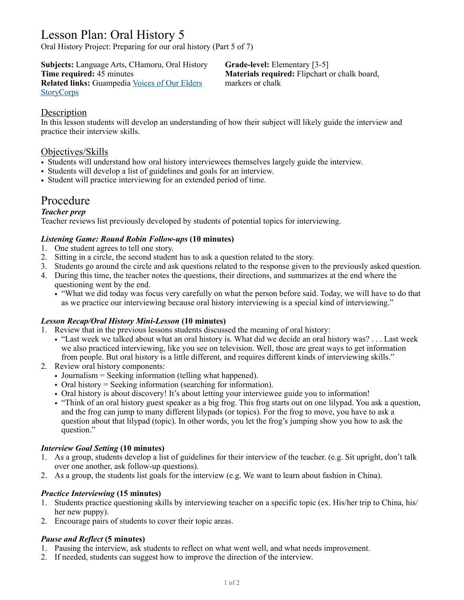# Lesson Plan: Oral History 5

Oral History Project: Preparing for our oral history (Part 5 of 7)

**Subjects:** Language Arts, CHamoru, Oral History **Grade-level:** Elementary [3-5]<br> **Time required:** 45 minutes **Materials required:** Flipchart **Related links:** Guampedia [Voices of Our Elders](https://www.guampedia.com/voices-of-our-elders/) markers or chalk **[StoryCorps](http://sotrycorps.org/)** 

**Materials required:** Flipchart or chalk board,

# **Description**

In this lesson students will develop an understanding of how their subject will likely guide the interview and practice their interview skills.

# Objectives/Skills

- Students will understand how oral history interviewees themselves largely guide the interview.
- Students will develop a list of guidelines and goals for an interview.
- Student will practice interviewing for an extended period of time.

# Procedure

# *Teacher prep*

Teacher reviews list previously developed by students of potential topics for interviewing.

# *Listening Game: Round Robin Follow-ups* **(10 minutes)**

- 1. One student agrees to tell one story.
- 2. Sitting in a circle, the second student has to ask a question related to the story.
- 3. Students go around the circle and ask questions related to the response given to the previously asked question.
- 4. During this time, the teacher notes the questions, their directions, and summarizes at the end where the questioning went by the end.
	- "What we did today was focus very carefully on what the person before said. Today, we will have to do that as we practice our interviewing because oral history interviewing is a special kind of interviewing."

#### *Lesson Recap/Oral History Mini-Lesson* **(10 minutes)**

- 1. Review that in the previous lessons students discussed the meaning of oral history:
	- "Last week we talked about what an oral history is. What did we decide an oral history was? . . . Last week we also practiced interviewing, like you see on television. Well, those are great ways to get information from people. But oral history is a little different, and requires different kinds of interviewing skills."
- 2. Review oral history components:
	- Journalism = Seeking information (telling what happened).
	- Oral history = Seeking information (searching for information).
	- Oral history is about discovery! It's about letting your interviewee guide you to information!
	- "Think of an oral history guest speaker as a big frog. This frog starts out on one lilypad. You ask a question, and the frog can jump to many different lilypads (or topics). For the frog to move, you have to ask a question about that lilypad (topic). In other words, you let the frog's jumping show you how to ask the question."

# *Interview Goal Setting* **(10 minutes)**

- 1. As a group, students develop a list of guidelines for their interview of the teacher. (e.g. Sit upright, don't talk over one another, ask follow-up questions).
- 2. As a group, the students list goals for the interview (e.g. We want to learn about fashion in China).

# *Practice Interviewing* **(15 minutes)**

- 1. Students practice questioning skills by interviewing teacher on a specific topic (ex. His/her trip to China, his/ her new puppy).
- 2. Encourage pairs of students to cover their topic areas.

#### *Pause and Reflect* **(5 minutes)**

- 1. Pausing the interview, ask students to reflect on what went well, and what needs improvement.
- 2. If needed, students can suggest how to improve the direction of the interview.